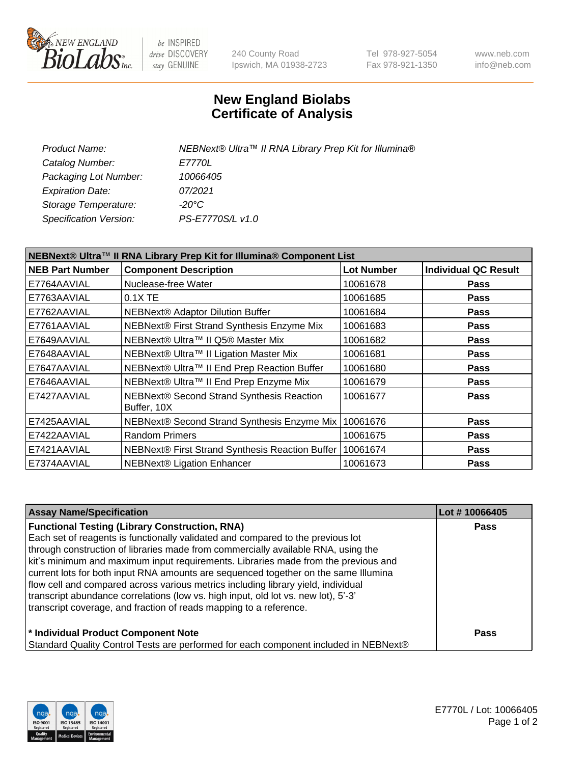

be INSPIRED drive DISCOVERY stay GENUINE

240 County Road Ipswich, MA 01938-2723 Tel 978-927-5054 Fax 978-921-1350 www.neb.com info@neb.com

## **New England Biolabs Certificate of Analysis**

| NEBNext® Ultra™ II RNA Library Prep Kit for Illumina® |
|-------------------------------------------------------|
| E7770L                                                |
| 10066405                                              |
| 07/2021                                               |
| -20°C                                                 |
| PS-E7770S/L v1.0                                      |
|                                                       |

| NEBNext® Ultra™ II RNA Library Prep Kit for Illumina® Component List |                                                            |                   |                             |  |
|----------------------------------------------------------------------|------------------------------------------------------------|-------------------|-----------------------------|--|
| <b>NEB Part Number</b>                                               | <b>Component Description</b>                               | <b>Lot Number</b> | <b>Individual QC Result</b> |  |
| E7764AAVIAL                                                          | Nuclease-free Water                                        | 10061678          | <b>Pass</b>                 |  |
| E7763AAVIAL                                                          | $0.1X$ TE                                                  | 10061685          | <b>Pass</b>                 |  |
| E7762AAVIAL                                                          | <b>NEBNext® Adaptor Dilution Buffer</b>                    | 10061684          | <b>Pass</b>                 |  |
| E7761AAVIAL                                                          | NEBNext® First Strand Synthesis Enzyme Mix                 | 10061683          | <b>Pass</b>                 |  |
| E7649AAVIAL                                                          | NEBNext® Ultra™ II Q5® Master Mix                          | 10061682          | <b>Pass</b>                 |  |
| E7648AAVIAL                                                          | NEBNext® Ultra™ II Ligation Master Mix                     | 10061681          | <b>Pass</b>                 |  |
| E7647AAVIAL                                                          | NEBNext® Ultra™ II End Prep Reaction Buffer                | 10061680          | <b>Pass</b>                 |  |
| E7646AAVIAL                                                          | NEBNext® Ultra™ II End Prep Enzyme Mix                     | 10061679          | <b>Pass</b>                 |  |
| E7427AAVIAL                                                          | NEBNext® Second Strand Synthesis Reaction<br>Buffer, 10X   | 10061677          | <b>Pass</b>                 |  |
| E7425AAVIAL                                                          | NEBNext® Second Strand Synthesis Enzyme Mix                | 10061676          | <b>Pass</b>                 |  |
| E7422AAVIAL                                                          | <b>Random Primers</b>                                      | 10061675          | <b>Pass</b>                 |  |
| E7421AAVIAL                                                          | NEBNext® First Strand Synthesis Reaction Buffer   10061674 |                   | <b>Pass</b>                 |  |
| E7374AAVIAL                                                          | NEBNext® Ligation Enhancer                                 | 10061673          | <b>Pass</b>                 |  |

| <b>Assay Name/Specification</b>                                                      | Lot #10066405 |
|--------------------------------------------------------------------------------------|---------------|
| <b>Functional Testing (Library Construction, RNA)</b>                                | <b>Pass</b>   |
| Each set of reagents is functionally validated and compared to the previous lot      |               |
| through construction of libraries made from commercially available RNA, using the    |               |
| kit's minimum and maximum input requirements. Libraries made from the previous and   |               |
| current lots for both input RNA amounts are sequenced together on the same Illumina  |               |
| flow cell and compared across various metrics including library yield, individual    |               |
| transcript abundance correlations (low vs. high input, old lot vs. new lot), 5'-3'   |               |
| transcript coverage, and fraction of reads mapping to a reference.                   |               |
| * Individual Product Component Note                                                  | <b>Pass</b>   |
| Standard Quality Control Tests are performed for each component included in NEBNext® |               |